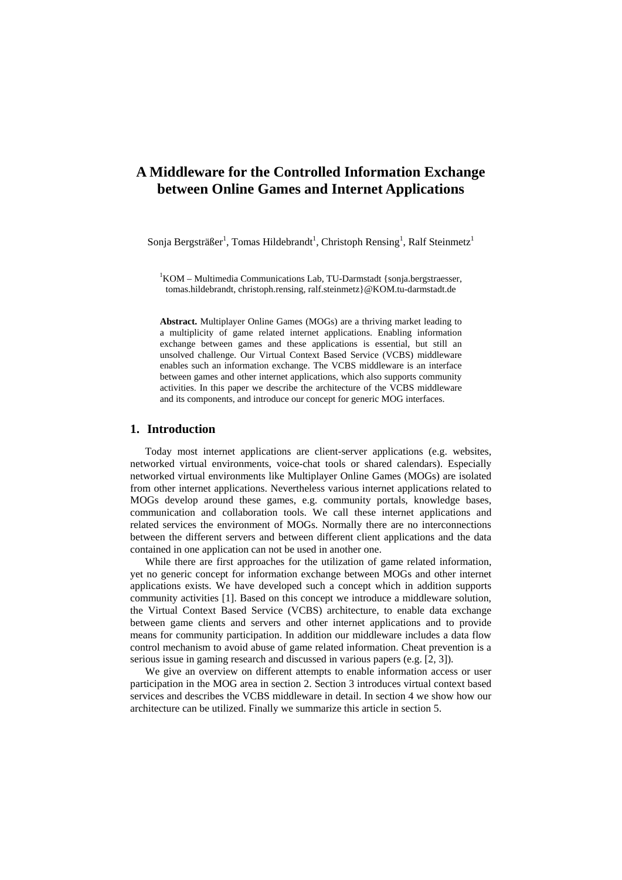# **A Middleware for the Controlled Information Exchange between Online Games and Internet Applications**

Sonja Bergsträßer<sup>1</sup>, Tomas Hildebrandt<sup>1</sup>, Christoph Rensing<sup>1</sup>, Ralf Steinmetz<sup>1</sup>

<sup>1</sup>KOM – Multimedia Communications Lab, TU-Darmstadt {sonja.bergstraesser, tomas.hildebrandt, christoph.rensing, ralf.steinmetz}@KOM.tu-darmstadt.de

**Abstract.** Multiplayer Online Games (MOGs) are a thriving market leading to a multiplicity of game related internet applications. Enabling information exchange between games and these applications is essential, but still an unsolved challenge. Our Virtual Context Based Service (VCBS) middleware enables such an information exchange. The VCBS middleware is an interface between games and other internet applications, which also supports community activities. In this paper we describe the architecture of the VCBS middleware and its components, and introduce our concept for generic MOG interfaces.

### **1. Introduction**

Today most internet applications are client-server applications (e.g. websites, networked virtual environments, voice-chat tools or shared calendars). Especially networked virtual environments like Multiplayer Online Games (MOGs) are isolated from other internet applications. Nevertheless various internet applications related to MOGs develop around these games, e.g. community portals, knowledge bases, communication and collaboration tools. We call these internet applications and related services the environment of MOGs. Normally there are no interconnections between the different servers and between different client applications and the data contained in one application can not be used in another one.

While there are first approaches for the utilization of game related information, yet no generic concept for information exchange between MOGs and other internet applications exists. We have developed such a concept which in addition supports community activities [1]. Based on this concept we introduce a middleware solution, the Virtual Context Based Service (VCBS) architecture, to enable data exchange between game clients and servers and other internet applications and to provide means for community participation. In addition our middleware includes a data flow control mechanism to avoid abuse of game related information. Cheat prevention is a serious issue in gaming research and discussed in various papers (e.g. [2, 3]).

We give an overview on different attempts to enable information access or user participation in the MOG area in section 2. Section 3 introduces virtual context based services and describes the VCBS middleware in detail. In section 4 we show how our architecture can be utilized. Finally we summarize this article in section 5.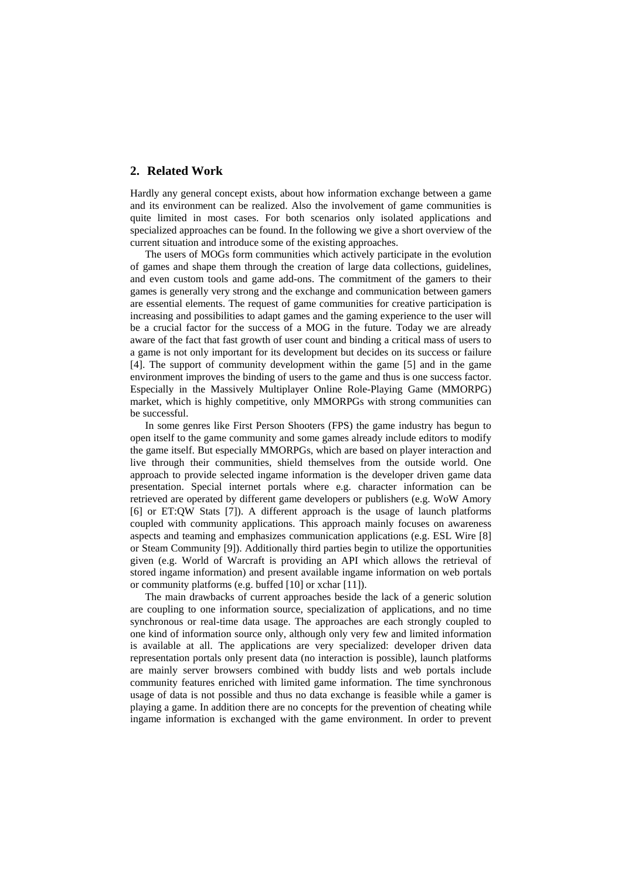## **2. Related Work**

Hardly any general concept exists, about how information exchange between a game and its environment can be realized. Also the involvement of game communities is quite limited in most cases. For both scenarios only isolated applications and specialized approaches can be found. In the following we give a short overview of the current situation and introduce some of the existing approaches.

The users of MOGs form communities which actively participate in the evolution of games and shape them through the creation of large data collections, guidelines, and even custom tools and game add-ons. The commitment of the gamers to their games is generally very strong and the exchange and communication between gamers are essential elements. The request of game communities for creative participation is increasing and possibilities to adapt games and the gaming experience to the user will be a crucial factor for the success of a MOG in the future. Today we are already aware of the fact that fast growth of user count and binding a critical mass of users to a game is not only important for its development but decides on its success or failure [4]. The support of community development within the game [5] and in the game environment improves the binding of users to the game and thus is one success factor. Especially in the Massively Multiplayer Online Role-Playing Game (MMORPG) market, which is highly competitive, only MMORPGs with strong communities can be successful.

In some genres like First Person Shooters (FPS) the game industry has begun to open itself to the game community and some games already include editors to modify the game itself. But especially MMORPGs, which are based on player interaction and live through their communities, shield themselves from the outside world. One approach to provide selected ingame information is the developer driven game data presentation. Special internet portals where e.g. character information can be retrieved are operated by different game developers or publishers (e.g. WoW Amory [6] or ET:QW Stats [7]). A different approach is the usage of launch platforms coupled with community applications. This approach mainly focuses on awareness aspects and teaming and emphasizes communication applications (e.g. ESL Wire [8] or Steam Community [9]). Additionally third parties begin to utilize the opportunities given (e.g. World of Warcraft is providing an API which allows the retrieval of stored ingame information) and present available ingame information on web portals or community platforms (e.g. buffed [10] or xchar [11]).

The main drawbacks of current approaches beside the lack of a generic solution are coupling to one information source, specialization of applications, and no time synchronous or real-time data usage. The approaches are each strongly coupled to one kind of information source only, although only very few and limited information is available at all. The applications are very specialized: developer driven data representation portals only present data (no interaction is possible), launch platforms are mainly server browsers combined with buddy lists and web portals include community features enriched with limited game information. The time synchronous usage of data is not possible and thus no data exchange is feasible while a gamer is playing a game. In addition there are no concepts for the prevention of cheating while ingame information is exchanged with the game environment. In order to prevent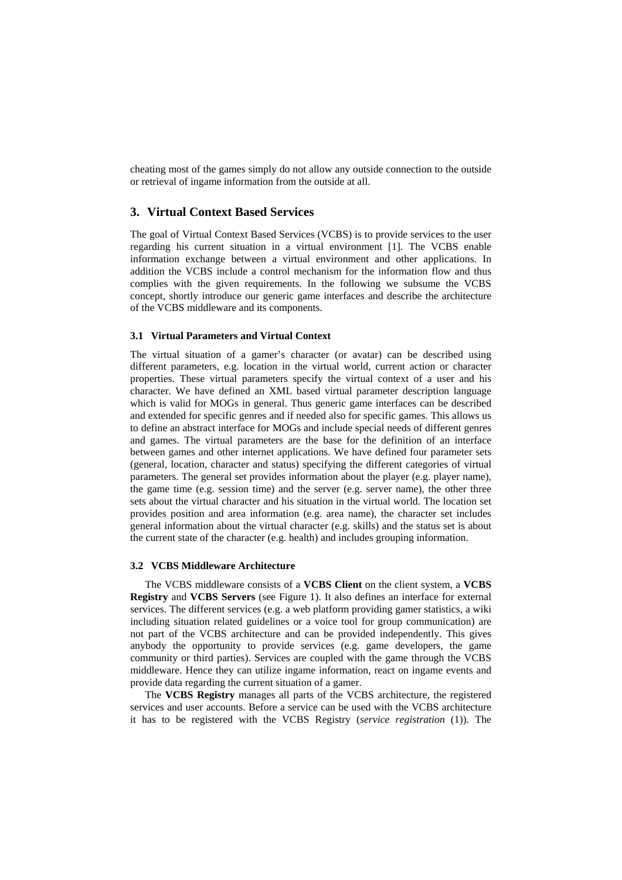cheating most of the games simply do not allow any outside connection to the outside or retrieval of ingame information from the outside at all.

## **3. Virtual Context Based Services**

The goal of Virtual Context Based Services (VCBS) is to provide services to the user regarding his current situation in a virtual environment [1]. The VCBS enable information exchange between a virtual environment and other applications. In addition the VCBS include a control mechanism for the information flow and thus complies with the given requirements. In the following we subsume the VCBS concept, shortly introduce our generic game interfaces and describe the architecture of the VCBS middleware and its components.

#### **3.1 Virtual Parameters and Virtual Context**

The virtual situation of a gamer's character (or avatar) can be described using different parameters, e.g. location in the virtual world, current action or character properties. These virtual parameters specify the virtual context of a user and his character. We have defined an XML based virtual parameter description language which is valid for MOGs in general. Thus generic game interfaces can be described and extended for specific genres and if needed also for specific games. This allows us to define an abstract interface for MOGs and include special needs of different genres and games. The virtual parameters are the base for the definition of an interface between games and other internet applications. We have defined four parameter sets (general, location, character and status) specifying the different categories of virtual parameters. The general set provides information about the player (e.g. player name), the game time (e.g. session time) and the server (e.g. server name), the other three sets about the virtual character and his situation in the virtual world. The location set provides position and area information (e.g. area name), the character set includes general information about the virtual character (e.g. skills) and the status set is about the current state of the character (e.g. health) and includes grouping information.

#### **3.2 VCBS Middleware Architecture**

The VCBS middleware consists of a **VCBS Client** on the client system, a **VCBS Registry** and **VCBS Servers** (see Figure 1). It also defines an interface for external services. The different services (e.g. a web platform providing gamer statistics, a wiki including situation related guidelines or a voice tool for group communication) are not part of the VCBS architecture and can be provided independently. This gives anybody the opportunity to provide services (e.g. game developers, the game community or third parties). Services are coupled with the game through the VCBS middleware. Hence they can utilize ingame information, react on ingame events and provide data regarding the current situation of a gamer.

The **VCBS Registry** manages all parts of the VCBS architecture, the registered services and user accounts. Before a service can be used with the VCBS architecture it has to be registered with the VCBS Registry (*service registration* (1)). The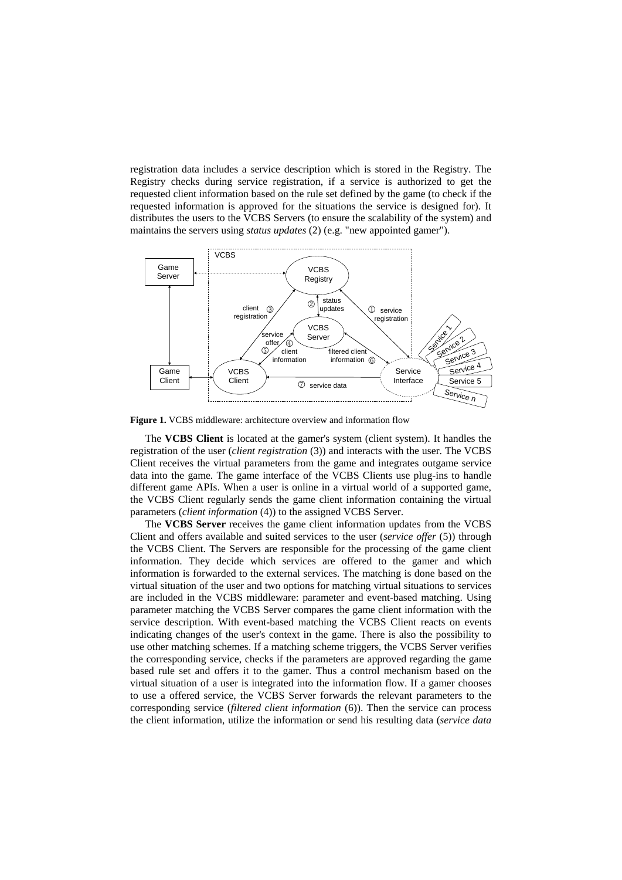registration data includes a service description which is stored in the Registry. The Registry checks during service registration, if a service is authorized to get the requested client information based on the rule set defined by the game (to check if the requested information is approved for the situations the service is designed for). It distributes the users to the VCBS Servers (to ensure the scalability of the system) and maintains the servers using *status updates* (2) (e.g. "new appointed gamer").



**Figure 1.** VCBS middleware: architecture overview and information flow

The **VCBS Client** is located at the gamer's system (client system). It handles the registration of the user (*client registration* (3)) and interacts with the user. The VCBS Client receives the virtual parameters from the game and integrates outgame service data into the game. The game interface of the VCBS Clients use plug-ins to handle different game APIs. When a user is online in a virtual world of a supported game, the VCBS Client regularly sends the game client information containing the virtual parameters (*client information* (4)) to the assigned VCBS Server.

The **VCBS Server** receives the game client information updates from the VCBS Client and offers available and suited services to the user (*service offer* (5)) through the VCBS Client. The Servers are responsible for the processing of the game client information. They decide which services are offered to the gamer and which information is forwarded to the external services. The matching is done based on the virtual situation of the user and two options for matching virtual situations to services are included in the VCBS middleware: parameter and event-based matching. Using parameter matching the VCBS Server compares the game client information with the service description. With event-based matching the VCBS Client reacts on events indicating changes of the user's context in the game. There is also the possibility to use other matching schemes. If a matching scheme triggers, the VCBS Server verifies the corresponding service, checks if the parameters are approved regarding the game based rule set and offers it to the gamer. Thus a control mechanism based on the virtual situation of a user is integrated into the information flow. If a gamer chooses to use a offered service, the VCBS Server forwards the relevant parameters to the corresponding service (*filtered client information* (6)). Then the service can process the client information, utilize the information or send his resulting data (*service data*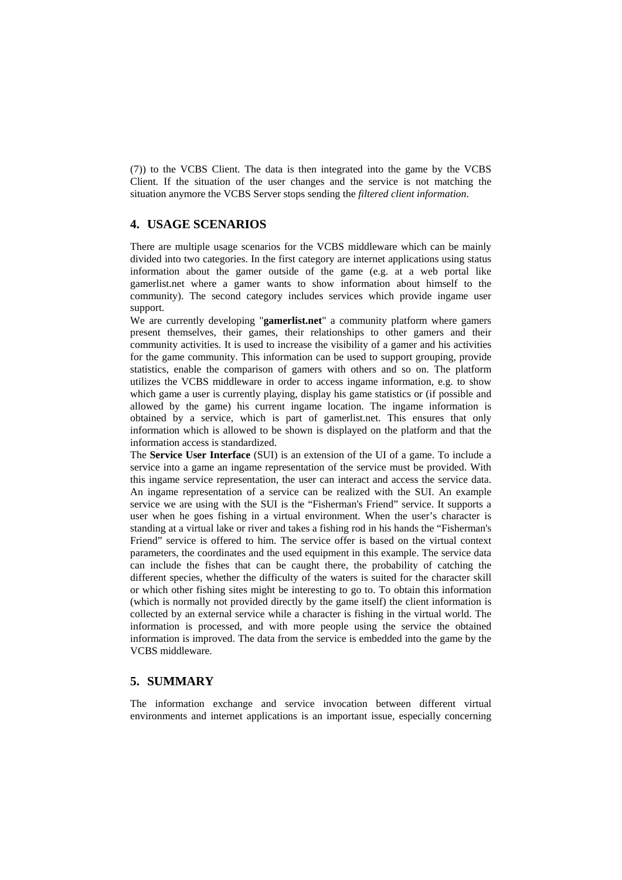(7)) to the VCBS Client. The data is then integrated into the game by the VCBS Client. If the situation of the user changes and the service is not matching the situation anymore the VCBS Server stops sending the *filtered client information*.

## **4. USAGE SCENARIOS**

There are multiple usage scenarios for the VCBS middleware which can be mainly divided into two categories. In the first category are internet applications using status information about the gamer outside of the game (e.g. at a web portal like gamerlist.net where a gamer wants to show information about himself to the community). The second category includes services which provide ingame user support.

We are currently developing "**gamerlist.net**" a community platform where gamers present themselves, their games, their relationships to other gamers and their community activities. It is used to increase the visibility of a gamer and his activities for the game community. This information can be used to support grouping, provide statistics, enable the comparison of gamers with others and so on. The platform utilizes the VCBS middleware in order to access ingame information, e.g. to show which game a user is currently playing, display his game statistics or (if possible and allowed by the game) his current ingame location. The ingame information is obtained by a service, which is part of gamerlist.net. This ensures that only information which is allowed to be shown is displayed on the platform and that the information access is standardized.

The **Service User Interface** (SUI) is an extension of the UI of a game. To include a service into a game an ingame representation of the service must be provided. With this ingame service representation, the user can interact and access the service data. An ingame representation of a service can be realized with the SUI. An example service we are using with the SUI is the "Fisherman's Friend" service. It supports a user when he goes fishing in a virtual environment. When the user's character is standing at a virtual lake or river and takes a fishing rod in his hands the "Fisherman's Friend" service is offered to him. The service offer is based on the virtual context parameters, the coordinates and the used equipment in this example. The service data can include the fishes that can be caught there, the probability of catching the different species, whether the difficulty of the waters is suited for the character skill or which other fishing sites might be interesting to go to. To obtain this information (which is normally not provided directly by the game itself) the client information is collected by an external service while a character is fishing in the virtual world. The information is processed, and with more people using the service the obtained information is improved. The data from the service is embedded into the game by the VCBS middleware.

## **5. SUMMARY**

The information exchange and service invocation between different virtual environments and internet applications is an important issue, especially concerning